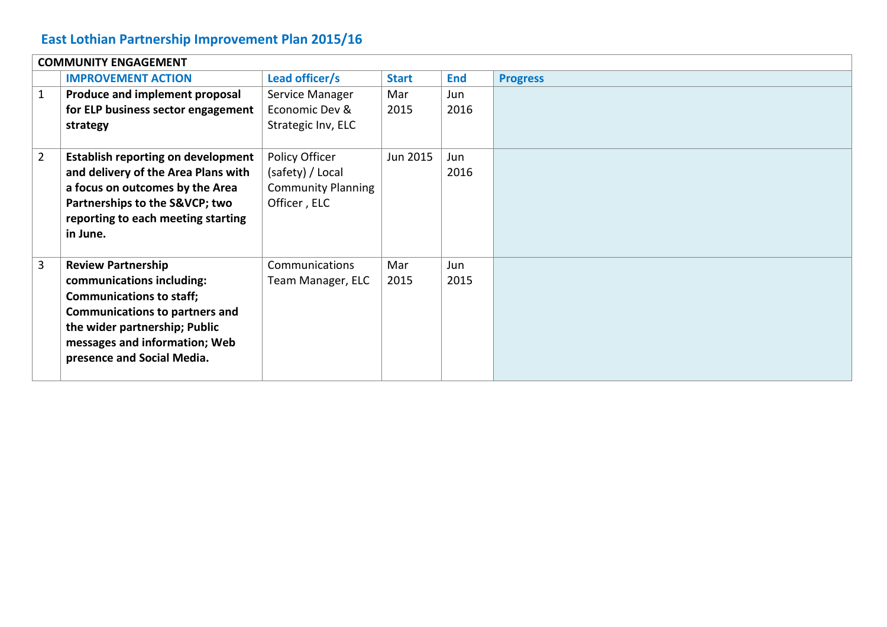### **East Lothian Partnership Improvement Plan 2015/16**

|             | <b>COMMUNITY ENGAGEMENT</b>               |                           |              |            |                 |  |
|-------------|-------------------------------------------|---------------------------|--------------|------------|-----------------|--|
|             | <b>IMPROVEMENT ACTION</b>                 | Lead officer/s            | <b>Start</b> | <b>End</b> | <b>Progress</b> |  |
| 1           | Produce and implement proposal            | Service Manager           | Mar          | Jun        |                 |  |
|             | for ELP business sector engagement        | Economic Dev &            | 2015         | 2016       |                 |  |
|             | strategy                                  | Strategic Inv, ELC        |              |            |                 |  |
|             |                                           |                           |              |            |                 |  |
| $2^{\circ}$ | <b>Establish reporting on development</b> | Policy Officer            | Jun 2015     | Jun        |                 |  |
|             | and delivery of the Area Plans with       | (safety) / Local          |              | 2016       |                 |  |
|             | a focus on outcomes by the Area           | <b>Community Planning</b> |              |            |                 |  |
|             | Partnerships to the S&VCP two             | Officer, ELC              |              |            |                 |  |
|             | reporting to each meeting starting        |                           |              |            |                 |  |
|             | in June.                                  |                           |              |            |                 |  |
|             |                                           |                           |              |            |                 |  |
| 3           | <b>Review Partnership</b>                 | Communications            | Mar          | Jun        |                 |  |
|             | communications including:                 | Team Manager, ELC         | 2015         | 2015       |                 |  |
|             | <b>Communications to staff;</b>           |                           |              |            |                 |  |
|             | <b>Communications to partners and</b>     |                           |              |            |                 |  |
|             | the wider partnership; Public             |                           |              |            |                 |  |
|             | messages and information; Web             |                           |              |            |                 |  |
|             | presence and Social Media.                |                           |              |            |                 |  |
|             |                                           |                           |              |            |                 |  |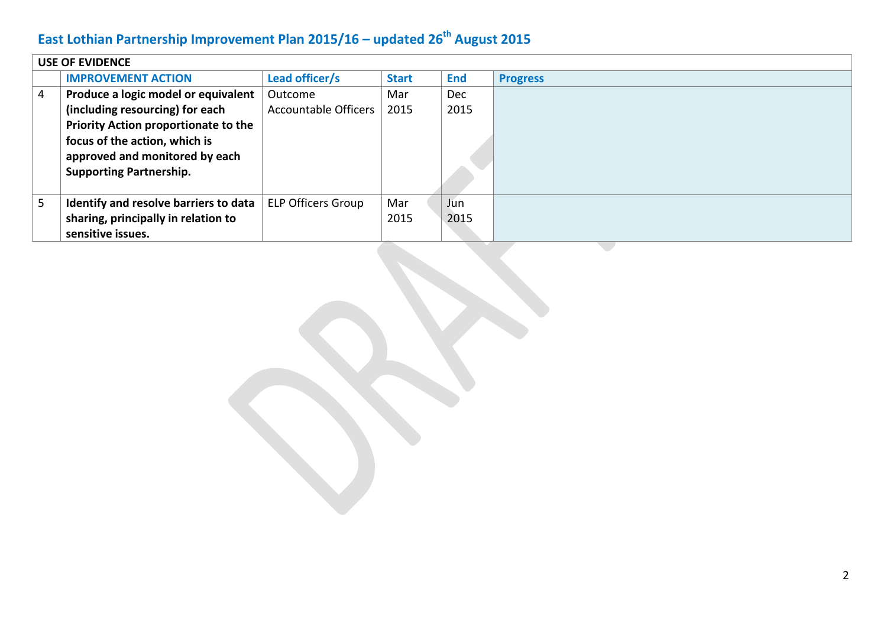|   | <b>USE OF EVIDENCE</b>                |                           |              |            |                 |  |
|---|---------------------------------------|---------------------------|--------------|------------|-----------------|--|
|   | <b>IMPROVEMENT ACTION</b>             | Lead officer/s            | <b>Start</b> | <b>End</b> | <b>Progress</b> |  |
| 4 | Produce a logic model or equivalent   | Outcome                   | Mar          | <b>Dec</b> |                 |  |
|   | (including resourcing) for each       | Accountable Officers      | 2015         | 2015       |                 |  |
|   | Priority Action proportionate to the  |                           |              |            |                 |  |
|   | focus of the action, which is         |                           |              |            |                 |  |
|   | approved and monitored by each        |                           |              |            |                 |  |
|   | <b>Supporting Partnership.</b>        |                           |              |            |                 |  |
|   |                                       |                           |              |            |                 |  |
| 5 | Identify and resolve barriers to data | <b>ELP Officers Group</b> | Mar          | Jun        |                 |  |
|   | sharing, principally in relation to   |                           | 2015         | 2015       |                 |  |
|   | sensitive issues.                     |                           |              |            |                 |  |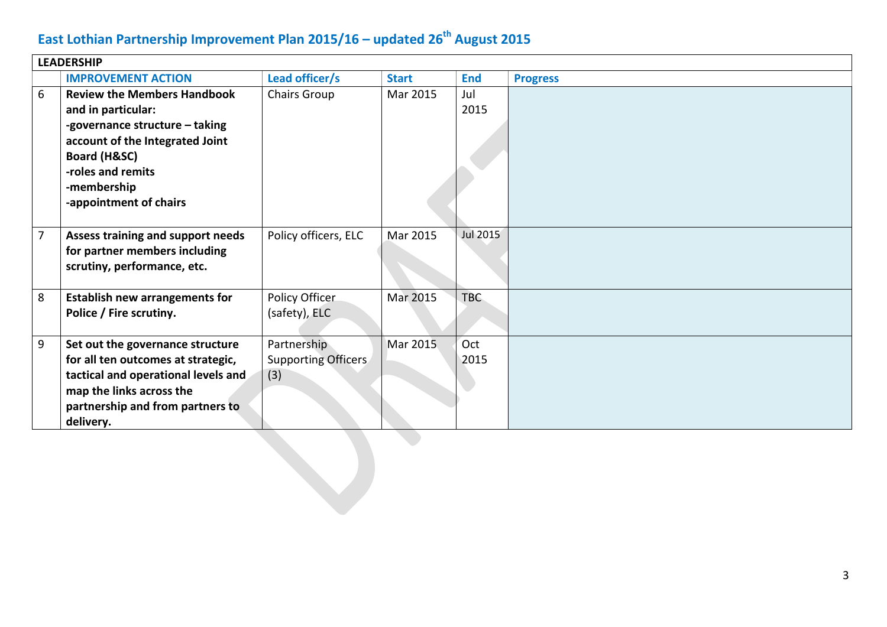|   | <b>LEADERSHIP</b>                                                                                                                                                                                           |                                                  |              |             |                 |  |  |
|---|-------------------------------------------------------------------------------------------------------------------------------------------------------------------------------------------------------------|--------------------------------------------------|--------------|-------------|-----------------|--|--|
|   | <b>IMPROVEMENT ACTION</b>                                                                                                                                                                                   | Lead officer/s                                   | <b>Start</b> | <b>End</b>  | <b>Progress</b> |  |  |
| 6 | <b>Review the Members Handbook</b><br>and in particular:<br>-governance structure - taking<br>account of the Integrated Joint<br>Board (H&SC)<br>-roles and remits<br>-membership<br>-appointment of chairs | <b>Chairs Group</b>                              | Mar 2015     | Jul<br>2015 |                 |  |  |
| 7 | Assess training and support needs<br>for partner members including<br>scrutiny, performance, etc.                                                                                                           | Policy officers, ELC                             | Mar 2015     | Jul 2015    |                 |  |  |
| 8 | <b>Establish new arrangements for</b><br>Police / Fire scrutiny.                                                                                                                                            | Policy Officer<br>(safety), ELC                  | Mar 2015     | <b>TBC</b>  |                 |  |  |
| 9 | Set out the governance structure<br>for all ten outcomes at strategic,<br>tactical and operational levels and<br>map the links across the<br>partnership and from partners to<br>delivery.                  | Partnership<br><b>Supporting Officers</b><br>(3) | Mar 2015     | Oct<br>2015 |                 |  |  |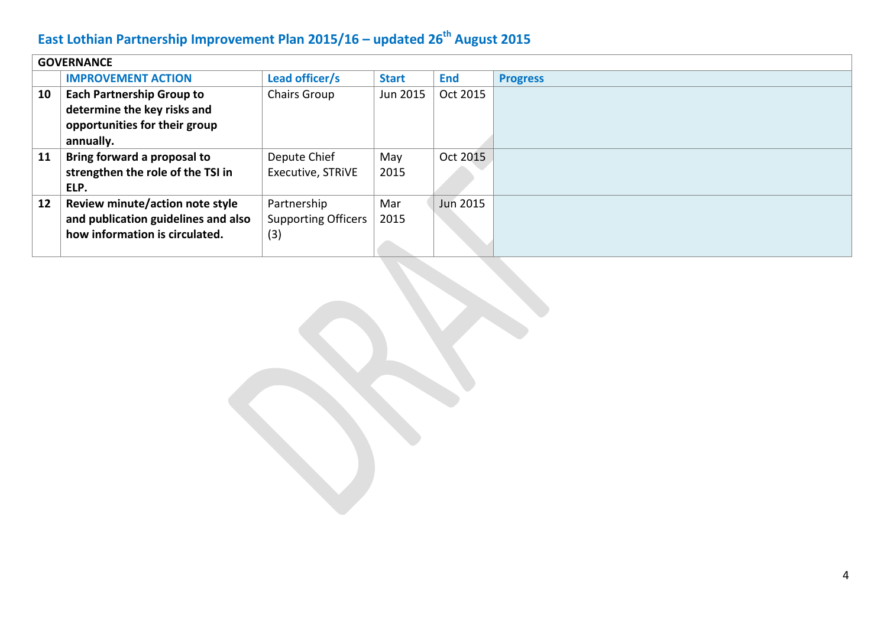| <b>GOVERNANCE</b> |                                     |                            |              |                 |                 |
|-------------------|-------------------------------------|----------------------------|--------------|-----------------|-----------------|
|                   | <b>IMPROVEMENT ACTION</b>           | Lead officer/s             | <b>Start</b> | <b>End</b>      | <b>Progress</b> |
| 10                | <b>Each Partnership Group to</b>    | Chairs Group               | Jun 2015     | Oct 2015        |                 |
|                   | determine the key risks and         |                            |              |                 |                 |
|                   | opportunities for their group       |                            |              |                 |                 |
|                   | annually.                           |                            |              |                 |                 |
| 11                | Bring forward a proposal to         | Depute Chief               | May          | Oct 2015        |                 |
|                   | strengthen the role of the TSI in   | Executive, STRIVE          | 2015         |                 |                 |
|                   | ELP.                                |                            |              |                 |                 |
| 12                | Review minute/action note style     | Partnership                | Mar          | <b>Jun 2015</b> |                 |
|                   | and publication guidelines and also | <b>Supporting Officers</b> | 2015         |                 |                 |
|                   | how information is circulated.      | (3)                        |              |                 |                 |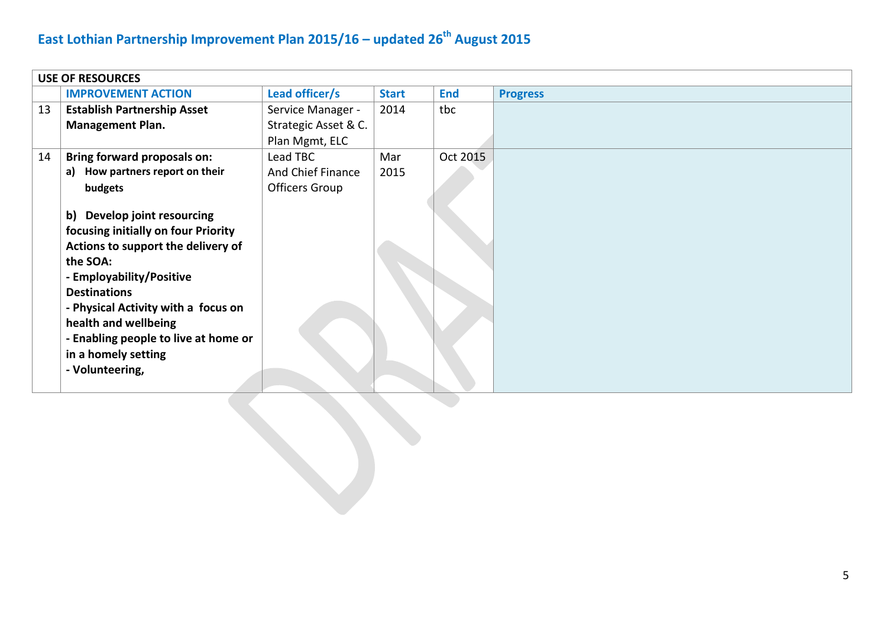|    | <b>USE OF RESOURCES</b>                                                                                                                                                                                                                                                                                                  |                       |              |            |                 |  |  |
|----|--------------------------------------------------------------------------------------------------------------------------------------------------------------------------------------------------------------------------------------------------------------------------------------------------------------------------|-----------------------|--------------|------------|-----------------|--|--|
|    | <b>IMPROVEMENT ACTION</b>                                                                                                                                                                                                                                                                                                | Lead officer/s        | <b>Start</b> | <b>End</b> | <b>Progress</b> |  |  |
| 13 | <b>Establish Partnership Asset</b>                                                                                                                                                                                                                                                                                       | Service Manager -     | 2014         | tbc        |                 |  |  |
|    | <b>Management Plan.</b>                                                                                                                                                                                                                                                                                                  | Strategic Asset & C.  |              |            |                 |  |  |
|    |                                                                                                                                                                                                                                                                                                                          | Plan Mgmt, ELC        |              |            |                 |  |  |
| 14 | <b>Bring forward proposals on:</b>                                                                                                                                                                                                                                                                                       | Lead TBC              | Mar          | Oct 2015   |                 |  |  |
|    | a) How partners report on their                                                                                                                                                                                                                                                                                          | And Chief Finance     | 2015         |            |                 |  |  |
|    | budgets                                                                                                                                                                                                                                                                                                                  | <b>Officers Group</b> |              |            |                 |  |  |
|    | b) Develop joint resourcing<br>focusing initially on four Priority<br>Actions to support the delivery of<br>the SOA:<br>- Employability/Positive<br><b>Destinations</b><br>- Physical Activity with a focus on<br>health and wellbeing<br>- Enabling people to live at home or<br>in a homely setting<br>- Volunteering, |                       |              |            |                 |  |  |